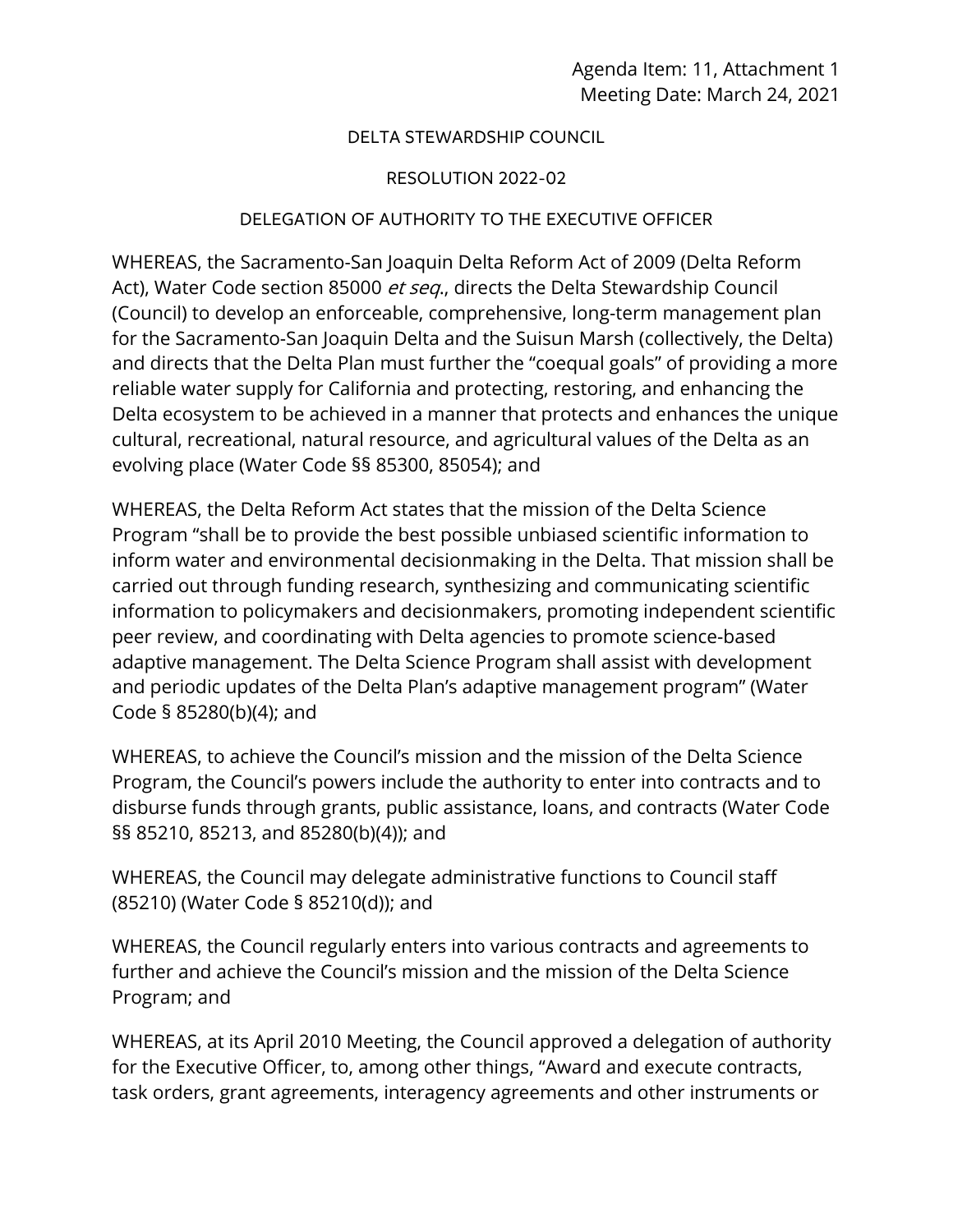## DELTA STEWARDSHIP COUNCIL

## RESOLUTION 2022-02

## DELEGATION OF AUTHORITY TO THE EXECUTIVE OFFICER

 evolving place (Water Code §§ 85300, 85054); and WHEREAS, the Sacramento-San Joaquin Delta Reform Act of 2009 (Delta Reform Act), Water Code section 85000 *et seq.*, directs the Delta Stewardship Council (Council) to develop an enforceable, comprehensive, long-term management plan for the Sacramento-San Joaquin Delta and the Suisun Marsh (collectively, the Delta) and directs that the Delta Plan must further the "coequal goals" of providing a more reliable water supply for California and protecting, restoring, and enhancing the Delta ecosystem to be achieved in a manner that protects and enhances the unique cultural, recreational, natural resource, and agricultural values of the Delta as an

 Program "shall be to provide the best possible unbiased scientific information to WHEREAS, the Delta Reform Act states that the mission of the Delta Science inform water and environmental decisionmaking in the Delta. That mission shall be carried out through funding research, synthesizing and communicating scientific information to policymakers and decisionmakers, promoting independent scientific peer review, and coordinating with Delta agencies to promote science-based adaptive management. The Delta Science Program shall assist with development and periodic updates of the Delta Plan's adaptive management program" (Water Code § 85280(b)(4); and

WHEREAS, to achieve the Council's mission and the mission of the Delta Science Program, the Council's powers include the authority to enter into contracts and to disburse funds through grants, public assistance, loans, and contracts (Water Code §§ 85210, 85213, and 85280(b)(4)); and

WHEREAS, the Council may delegate administrative functions to Council staff (85210) (Water Code § 85210(d)); and

WHEREAS, the Council regularly enters into various contracts and agreements to further and achieve the Council's mission and the mission of the Delta Science Program; and

WHEREAS, at its April 2010 Meeting, the Council approved a delegation of authority for the Executive Officer, to, among other things, "Award and execute contracts, task orders, grant agreements, interagency agreements and other instruments or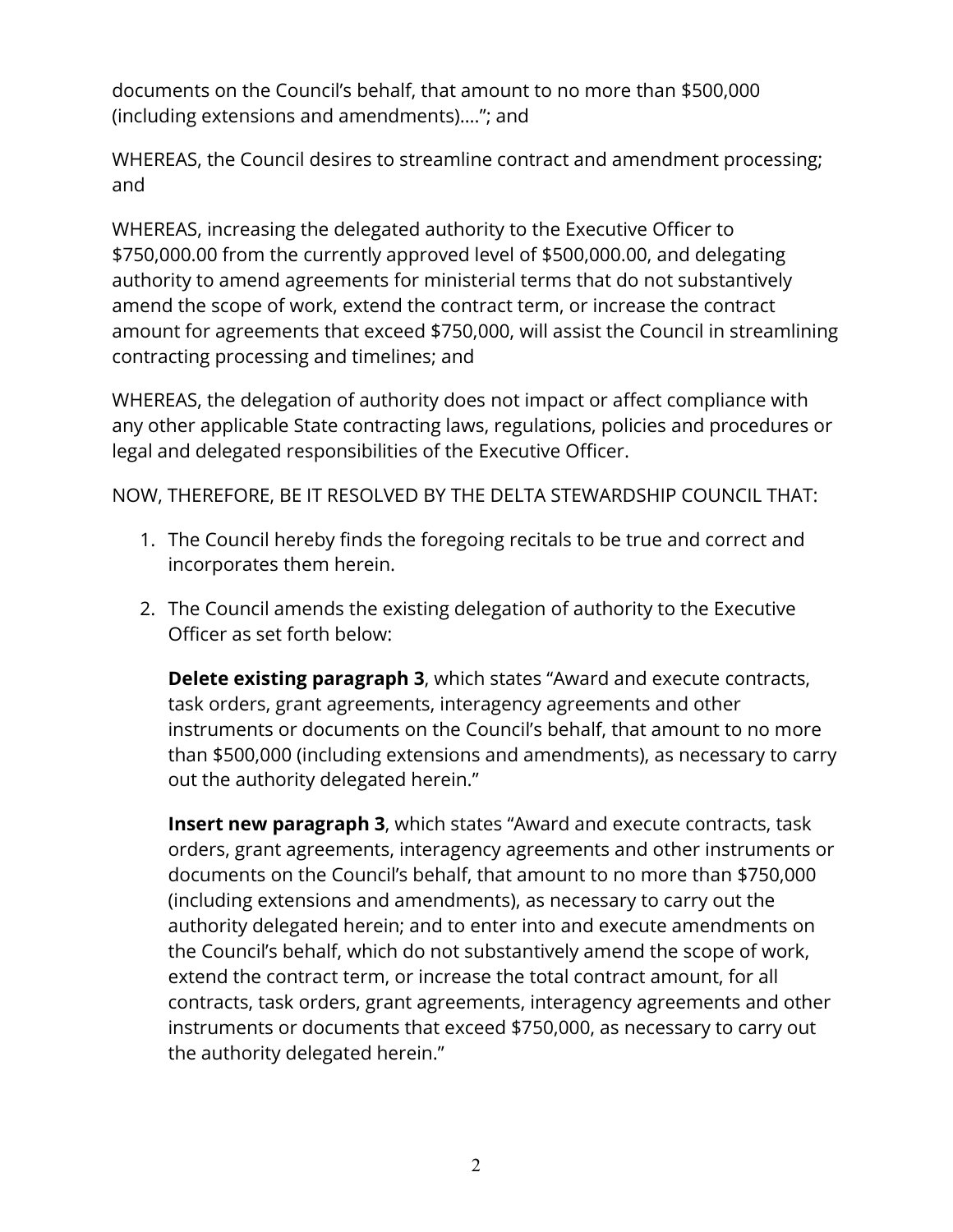documents on the Council's behalf, that amount to no more than \$500,000 (including extensions and amendments)…."; and

WHEREAS, the Council desires to streamline contract and amendment processing; and

 authority to amend agreements for ministerial terms that do not substantively amend the scope of work, extend the contract term, or increase the contract WHEREAS, increasing the delegated authority to the Executive Officer to \$[750,000.00](https://750,000.00) from the currently approved level of \$[500,000.00](https://500,000.00), and delegating amount for agreements that exceed \$750,000, will assist the Council in streamlining contracting processing and timelines; and

WHEREAS, the delegation of authority does not impact or affect compliance with any other applicable State contracting laws, regulations, policies and procedures or legal and delegated responsibilities of the Executive Officer.

NOW, THEREFORE, BE IT RESOLVED BY THE DELTA STEWARDSHIP COUNCIL THAT:

- 1. The Council hereby finds the foregoing recitals to be true and correct and incorporates them herein.
- 2. The Council amends the existing delegation of authority to the Executive Officer as set forth below:

 **Delete existing paragraph 3**, which states "Award and execute contracts, task orders, grant agreements, interagency agreements and other instruments or documents on the Council's behalf, that amount to no more than \$500,000 (including extensions and amendments), as necessary to carry out the authority delegated herein."

 the authority delegated herein." **Insert new paragraph 3**, which states "Award and execute contracts, task orders, grant agreements, interagency agreements and other instruments or documents on the Council's behalf, that amount to no more than \$750,000 (including extensions and amendments), as necessary to carry out the authority delegated herein; and to enter into and execute amendments on the Council's behalf, which do not substantively amend the scope of work, extend the contract term, or increase the total contract amount, for all contracts, task orders, grant agreements, interagency agreements and other instruments or documents that exceed \$750,000, as necessary to carry out